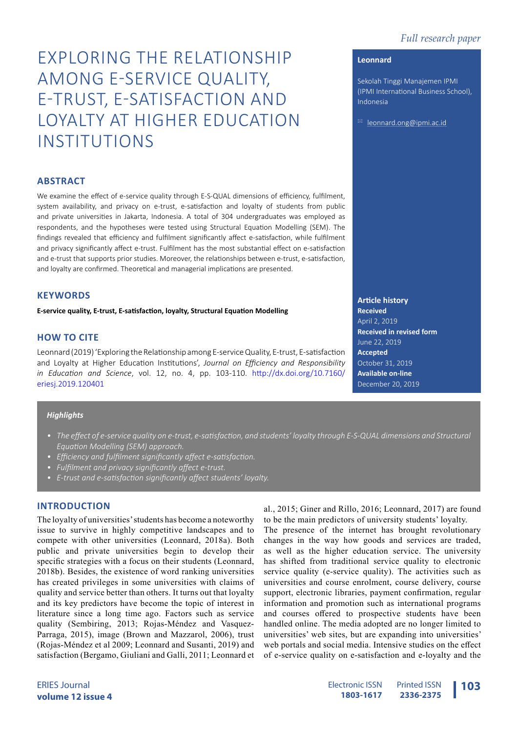# *Full research paper*

# EXPLORING THE RELATIONSHIP AMONG E-SERVICE QUALITY, E-TRUST, E-SATISFACTION AND LOYALTY AT HIGHER EDUCATION INSTITUTIONS

# **ABSTRACT**

We examine the effect of e-service quality through E-S-QUAL dimensions of efficiency, fulfilment, system availability, and privacy on e-trust, e-satisfaction and loyalty of students from public and private universities in Jakarta, Indonesia. A total of 304 undergraduates was employed as respondents, and the hypotheses were tested using Structural Equation Modelling (SEM). The findings revealed that efficiency and fulfilment significantly affect e-satisfaction, while fulfilment and privacy significantly affect e-trust. Fulfilment has the most substantial effect on e-satisfaction and e-trust that supports prior studies. Moreover, the relationships between e-trust, e-satisfaction, and loyalty are confirmed. Theoretical and managerial implications are presented.

#### **KEYWORDS**

**E-service quality, E-trust, E-satisfaction, loyalty, Structural Equation Modelling** 

# **HOW TO CITE**

Leonnard (2019) 'Exploring the Relationship among E-service Quality, E-trust, E-satisfaction and Loyalty at Higher Education Institutions', *Journal on Efficiency and Responsibility in Education and Science*, vol. 12, no. 4, pp. 103-110. http://dx.doi.org/10.7160/ eriesj.2019.120401

## *Highlights*

- *• The effect of e-service quality on e-trust, e-satisfaction, and students' loyalty through E-S-QUAL dimensions and Structural Equation Modelling (SEM) approach.*
- *• Efficiency and fulfilment significantly affect e-satisfaction.*
- *• Fulfilment and privacy significantly affect e-trust.*
- *• E-trust and e-satisfaction significantly affect students' loyalty.*

# **INTRODUCTION**

The loyalty of universities' students has become a noteworthy issue to survive in highly competitive landscapes and to compete with other universities (Leonnard, 2018a). Both public and private universities begin to develop their specific strategies with a focus on their students (Leonnard, 2018b). Besides, the existence of word ranking universities has created privileges in some universities with claims of quality and service better than others. It turns out that loyalty and its key predictors have become the topic of interest in literature since a long time ago. Factors such as service quality (Sembiring, 2013; Rojas-Méndez and Vasquez-Parraga, 2015), image (Brown and Mazzarol, 2006), trust (Rojas-Méndez et al 2009; Leonnard and Susanti, 2019) and satisfaction (Bergamo, Giuliani and Galli, 2011; Leonnard et

al., 2015; Giner and Rillo, 2016; Leonnard, 2017) are found to be the main predictors of university students' loyalty.

The presence of the internet has brought revolutionary changes in the way how goods and services are traded, as well as the higher education service. The university has shifted from traditional service quality to electronic service quality (e-service quality). The activities such as universities and course enrolment, course delivery, course support, electronic libraries, payment confirmation, regular information and promotion such as international programs and courses offered to prospective students have been handled online. The media adopted are no longer limited to universities' web sites, but are expanding into universities' web portals and social media. Intensive studies on the effect of e-service quality on e-satisfaction and e-loyalty and the

**Article history Received** April 2, 2019 **Received in revised form**  June 22, 2019 **Accepted** October 31, 2019 **Available on-line**  December 20, 2019

#### **Leonnard**

Sekolah Tinggi Manajemen IPMI (IPMI International Business School), Indonesia

 $\boxtimes$  leonnard.ong@ipmi.ac.id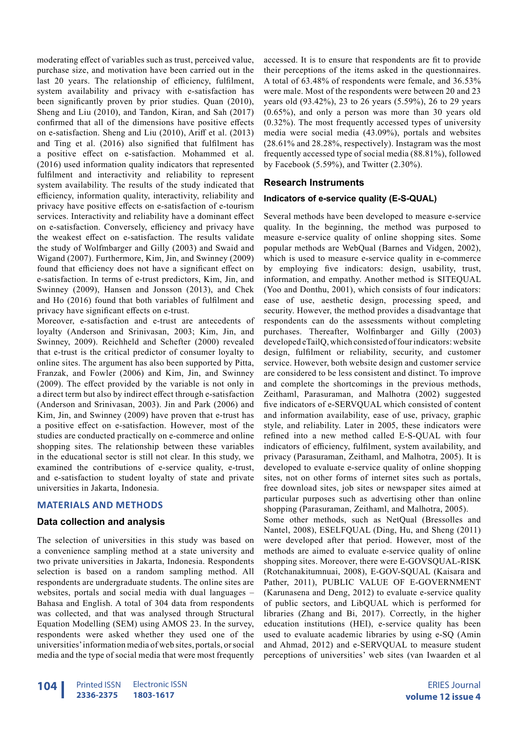moderating effect of variables such as trust, perceived value, purchase size, and motivation have been carried out in the last 20 years. The relationship of efficiency, fulfilment, system availability and privacy with e-satisfaction has been significantly proven by prior studies. Quan (2010), Sheng and Liu (2010), and Tandon, Kiran, and Sah (2017) confirmed that all of the dimensions have positive effects on e-satisfaction. Sheng and Liu (2010), Ariff et al. (2013) and Ting et al. (2016) also signified that fulfilment has a positive effect on e-satisfaction. Mohammed et al. (2016) used information quality indicators that represented fulfilment and interactivity and reliability to represent system availability. The results of the study indicated that efficiency, information quality, interactivity, reliability and privacy have positive effects on e-satisfaction of e-tourism services. Interactivity and reliability have a dominant effect on e-satisfaction. Conversely, efficiency and privacy have the weakest effect on e-satisfaction. The results validate the study of Wolfmbarger and Gilly (2003) and Swaid and Wigand (2007). Furthermore, Kim, Jin, and Swinney (2009) found that efficiency does not have a significant effect on e-satisfaction. In terms of e-trust predictors, Kim, Jin, and Swinney (2009), Hansen and Jonsson (2013), and Chek and Ho (2016) found that both variables of fulfilment and privacy have significant effects on e-trust.

Moreover, e-satisfaction and e-trust are antecedents of loyalty (Anderson and Srinivasan, 2003; Kim, Jin, and Swinney, 2009). Reichheld and Schefter (2000) revealed that e-trust is the critical predictor of consumer loyalty to online sites. The argument has also been supported by Pitta, Franzak, and Fowler (2006) and Kim, Jin, and Swinney (2009). The effect provided by the variable is not only in a direct term but also by indirect effect through e-satisfaction (Anderson and Srinivasan, 2003). Jin and Park (2006) and Kim, Jin, and Swinney (2009) have proven that e-trust has a positive effect on e-satisfaction. However, most of the studies are conducted practically on e-commerce and online shopping sites. The relationship between these variables in the educational sector is still not clear. In this study, we examined the contributions of e-service quality, e-trust, and e-satisfaction to student loyalty of state and private universities in Jakarta, Indonesia.

# **MATERIALS AND METHODS**

# **Data collection and analysis**

The selection of universities in this study was based on a convenience sampling method at a state university and two private universities in Jakarta, Indonesia. Respondents selection is based on a random sampling method. All respondents are undergraduate students. The online sites are websites, portals and social media with dual languages – Bahasa and English. A total of 304 data from respondents was collected, and that was analysed through Structural Equation Modelling (SEM) using AMOS 23. In the survey, respondents were asked whether they used one of the universities' information media of web sites, portals, or social media and the type of social media that were most frequently

accessed. It is to ensure that respondents are fit to provide their perceptions of the items asked in the questionnaires. A total of 63.48% of respondents were female, and 36.53% were male. Most of the respondents were between 20 and 23 years old (93.42%), 23 to 26 years (5.59%), 26 to 29 years (0.65%), and only a person was more than 30 years old (0.32%). The most frequently accessed types of university media were social media (43.09%), portals and websites (28.61% and 28.28%, respectively). Instagram was the most frequently accessed type of social media (88.81%), followed by Facebook (5.59%), and Twitter (2.30%).

## **Research Instruments**

#### **Indicators of e-service quality (E-S-QUAL)**

Several methods have been developed to measure e-service quality. In the beginning, the method was purposed to measure e-service quality of online shopping sites. Some popular methods are WebQual (Barnes and Vidgen, 2002), which is used to measure e-service quality in e-commerce by employing five indicators: design, usability, trust, information, and empathy. Another method is SITEQUAL (Yoo and Donthu, 2001), which consists of four indicators: ease of use, aesthetic design, processing speed, and security. However, the method provides a disadvantage that respondents can do the assessments without completing purchases. Thereafter, Wolfinbarger and Gilly (2003) developed eTailQ, which consisted of four indicators: website design, fulfilment or reliability, security, and customer service. However, both website design and customer service are considered to be less consistent and distinct. To improve and complete the shortcomings in the previous methods, Zeithaml, Parasuraman, and Malhotra (2002) suggested five indicators of e-SERVQUAL which consisted of content and information availability, ease of use, privacy, graphic style, and reliability. Later in 2005, these indicators were refined into a new method called E-S-QUAL with four indicators of efficiency, fulfilment, system availability, and privacy (Parasuraman, Zeithaml, and Malhotra, 2005). It is developed to evaluate e-service quality of online shopping sites, not on other forms of internet sites such as portals, free download sites, job sites or newspaper sites aimed at particular purposes such as advertising other than online shopping (Parasuraman, Zeithaml, and Malhotra, 2005).

Some other methods, such as NetQual (Bressolles and Nantel, 2008), ESELFQUAL (Ding, Hu, and Sheng (2011) were developed after that period. However, most of the methods are aimed to evaluate e-service quality of online shopping sites. Moreover, there were E-GOVSQUAL-RISK (Rotchanakitumnuai, 2008), E-GOV-SQUAL (Kaisara and Pather, 2011), PUBLIC VALUE OF E-GOVERNMENT (Karunasena and Deng, 2012) to evaluate e-service quality of public sectors, and LibQUAL which is performed for libraries (Zhang and Bi, 2017). Correctly, in the higher education institutions (HEI), e-service quality has been used to evaluate academic libraries by using e-SQ (Amin and Ahmad, 2012) and e-SERVQUAL to measure student perceptions of universities' web sites (van Iwaarden et al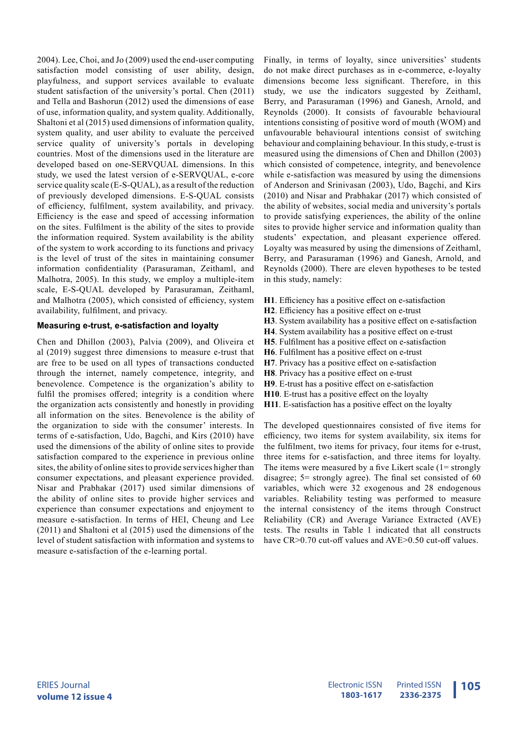2004). Lee, Choi, and Jo (2009) used the end-user computing satisfaction model consisting of user ability, design, playfulness, and support services available to evaluate student satisfaction of the university's portal. Chen (2011) and Tella and Bashorun (2012) used the dimensions of ease of use, information quality, and system quality. Additionally, Shaltoni et al (2015) used dimensions of information quality, system quality, and user ability to evaluate the perceived service quality of university's portals in developing countries. Most of the dimensions used in the literature are developed based on one-SERVQUAL dimensions. In this study, we used the latest version of e-SERVQUAL, e-core service quality scale (E-S-QUAL), as a result of the reduction of previously developed dimensions. E-S-QUAL consists of efficiency, fulfilment, system availability, and privacy. Efficiency is the ease and speed of accessing information on the sites. Fulfilment is the ability of the sites to provide the information required. System availability is the ability of the system to work according to its functions and privacy is the level of trust of the sites in maintaining consumer information confidentiality (Parasuraman, Zeithaml, and Malhotra, 2005). In this study, we employ a multiple-item scale, E-S-QUAL developed by Parasuraman, Zeithaml, and Malhotra (2005), which consisted of efficiency, system availability, fulfilment, and privacy.

# **Measuring e-trust, e-satisfaction and loyalty**

Chen and Dhillon (2003), Palvia (2009), and Oliveira et al (2019) suggest three dimensions to measure e-trust that are free to be used on all types of transactions conducted through the internet, namely competence, integrity, and benevolence. Competence is the organization's ability to fulfil the promises offered; integrity is a condition where the organization acts consistently and honestly in providing all information on the sites. Benevolence is the ability of the organization to side with the consumer' interests. In terms of e-satisfaction, Udo, Bagchi, and Kirs (2010) have used the dimensions of the ability of online sites to provide satisfaction compared to the experience in previous online sites, the ability of online sites to provide services higher than consumer expectations, and pleasant experience provided. Nisar and Prabhakar (2017) used similar dimensions of the ability of online sites to provide higher services and experience than consumer expectations and enjoyment to measure e-satisfaction. In terms of HEI, Cheung and Lee (2011) and Shaltoni et al (2015) used the dimensions of the level of student satisfaction with information and systems to measure e-satisfaction of the e-learning portal.

Finally, in terms of loyalty, since universities' students do not make direct purchases as in e-commerce, e-loyalty dimensions become less significant. Therefore, in this study, we use the indicators suggested by Zeithaml, Berry, and Parasuraman (1996) and Ganesh, Arnold, and Reynolds (2000). It consists of favourable behavioural intentions consisting of positive word of mouth (WOM) and unfavourable behavioural intentions consist of switching behaviour and complaining behaviour. In this study, e-trust is measured using the dimensions of Chen and Dhillon (2003) which consisted of competence, integrity, and benevolence while e-satisfaction was measured by using the dimensions of Anderson and Srinivasan (2003), Udo, Bagchi, and Kirs (2010) and Nisar and Prabhakar (2017) which consisted of the ability of websites, social media and university's portals to provide satisfying experiences, the ability of the online sites to provide higher service and information quality than students' expectation, and pleasant experience offered. Loyalty was measured by using the dimensions of Zeithaml, Berry, and Parasuraman (1996) and Ganesh, Arnold, and Reynolds (2000). There are eleven hypotheses to be tested in this study, namely:

- **H1**. Efficiency has a positive effect on e-satisfaction
- **H2**. Efficiency has a positive effect on e-trust
- **H3**. System availability has a positive effect on e-satisfaction
- **H4**. System availability has a positive effect on e-trust
- **H5**. Fulfilment has a positive effect on e-satisfaction
- **H6**. Fulfilment has a positive effect on e-trust
- **H7**. Privacy has a positive effect on e-satisfaction
- **H8**. Privacy has a positive effect on e-trust
- **H9**. E-trust has a positive effect on e-satisfaction
- **H10**. E-trust has a positive effect on the loyalty
- **H11**. E-satisfaction has a positive effect on the loyalty

The developed questionnaires consisted of five items for efficiency, two items for system availability, six items for the fulfilment, two items for privacy, four items for e-trust, three items for e-satisfaction, and three items for loyalty. The items were measured by a five Likert scale (1= strongly disagree; 5= strongly agree). The final set consisted of 60 variables, which were 32 exogenous and 28 endogenous variables. Reliability testing was performed to measure the internal consistency of the items through Construct Reliability (CR) and Average Variance Extracted (AVE) tests. The results in Table 1 indicated that all constructs have CR>0.70 cut-off values and AVE>0.50 cut-off values.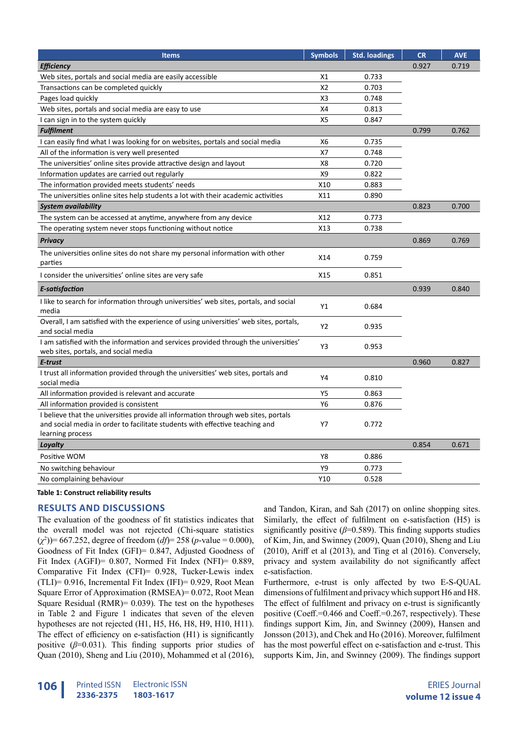| <b>Items</b>                                                                                                                                                                           | <b>Symbols</b> | <b>Std. loadings</b> | <b>CR</b> | <b>AVE</b> |
|----------------------------------------------------------------------------------------------------------------------------------------------------------------------------------------|----------------|----------------------|-----------|------------|
| <b>Efficiency</b>                                                                                                                                                                      |                |                      | 0.927     | 0.719      |
| Web sites, portals and social media are easily accessible                                                                                                                              | X1             | 0.733                |           |            |
| Transactions can be completed quickly                                                                                                                                                  | X <sub>2</sub> | 0.703                |           |            |
| Pages load quickly                                                                                                                                                                     | X3             | 0.748                |           |            |
| Web sites, portals and social media are easy to use                                                                                                                                    | X4             | 0.813                |           |            |
| I can sign in to the system quickly                                                                                                                                                    | X5             | 0.847                |           |            |
| <b>Fulfilment</b>                                                                                                                                                                      |                |                      | 0.799     | 0.762      |
| I can easily find what I was looking for on websites, portals and social media                                                                                                         | X6             | 0.735                |           |            |
| All of the information is very well presented                                                                                                                                          | X7             | 0.748                |           |            |
| The universities' online sites provide attractive design and layout                                                                                                                    | X8             | 0.720                |           |            |
| Information updates are carried out regularly                                                                                                                                          | X9             | 0.822                |           |            |
| The information provided meets students' needs                                                                                                                                         | X10            | 0.883                |           |            |
| The universities online sites help students a lot with their academic activities                                                                                                       | X11            | 0.890                |           |            |
| <b>System availability</b>                                                                                                                                                             |                |                      | 0.823     | 0.700      |
| The system can be accessed at anytime, anywhere from any device                                                                                                                        | X12            | 0.773                |           |            |
| The operating system never stops functioning without notice                                                                                                                            | X13            | 0.738                |           |            |
| <b>Privacy</b>                                                                                                                                                                         |                |                      | 0.869     | 0.769      |
| The universities online sites do not share my personal information with other<br>parties                                                                                               | X14            | 0.759                |           |            |
| I consider the universities' online sites are very safe                                                                                                                                | X15            | 0.851                |           |            |
| E-satisfaction                                                                                                                                                                         |                |                      | 0.939     | 0.840      |
| I like to search for information through universities' web sites, portals, and social<br>media                                                                                         | Υ1             | 0.684                |           |            |
| Overall, I am satisfied with the experience of using universities' web sites, portals,<br>and social media                                                                             | Y2             | 0.935                |           |            |
| I am satisfied with the information and services provided through the universities'<br>web sites, portals, and social media                                                            | Y3             | 0.953                |           |            |
| E-trust                                                                                                                                                                                |                |                      | 0.960     | 0.827      |
| I trust all information provided through the universities' web sites, portals and<br>social media                                                                                      | Υ4             | 0.810                |           |            |
| All information provided is relevant and accurate                                                                                                                                      | Y5             | 0.863                |           |            |
| All information provided is consistent                                                                                                                                                 | Y6             | 0.876                |           |            |
| I believe that the universities provide all information through web sites, portals<br>and social media in order to facilitate students with effective teaching and<br>learning process | Y7             | 0.772                |           |            |
| Loyalty                                                                                                                                                                                |                |                      | 0.854     | 0.671      |
| Positive WOM                                                                                                                                                                           | Y8             | 0.886                |           |            |
| No switching behaviour                                                                                                                                                                 | Y9             | 0.773                |           |            |
| No complaining behaviour                                                                                                                                                               | Y10            | 0.528                |           |            |

#### **Table 1: Construct reliability results**

#### **RESULTS AND DISCUSSIONS**

The evaluation of the goodness of fit statistics indicates that the overall model was not rejected (Chi-square statistics (*χ*<sup>2</sup> ))= 667.252, degree of freedom (*df*)= 258 (*p*-value = 0.000), Goodness of Fit Index (GFI)= 0.847, Adjusted Goodness of Fit Index (AGFI)= 0.807, Normed Fit Index (NFI)= 0.889, Comparative Fit Index (CFI)= 0.928, Tucker-Lewis index (TLI)= 0.916, Incremental Fit Index (IFI)= 0.929, Root Mean Square Error of Approximation (RMSEA)= 0.072, Root Mean Square Residual (RMR)= 0.039). The test on the hypotheses in Table 2 and Figure 1 indicates that seven of the eleven hypotheses are not rejected (H1, H5, H6, H8, H9, H10, H11). The effect of efficiency on e-satisfaction (H1) is significantly positive (*β*=0.031). This finding supports prior studies of Quan (2010), Sheng and Liu (2010), Mohammed et al (2016),

and Tandon, Kiran, and Sah (2017) on online shopping sites. Similarly, the effect of fulfilment on e-satisfaction (H5) is significantly positive (*β*=0.589). This finding supports studies of Kim, Jin, and Swinney (2009), Quan (2010), Sheng and Liu (2010), Ariff et al (2013), and Ting et al (2016). Conversely, privacy and system availability do not significantly affect e-satisfaction.

Furthermore, e-trust is only affected by two E-S-QUAL dimensions of fulfilment and privacy which support H6 and H8. The effect of fulfilment and privacy on e-trust is significantly positive (Coeff.=0.466 and Coeff.=0.267, respectively). These findings support Kim, Jin, and Swinney (2009), Hansen and Jonsson (2013), and Chek and Ho (2016). Moreover, fulfilment has the most powerful effect on e-satisfaction and e-trust. This supports Kim, Jin, and Swinney (2009). The findings support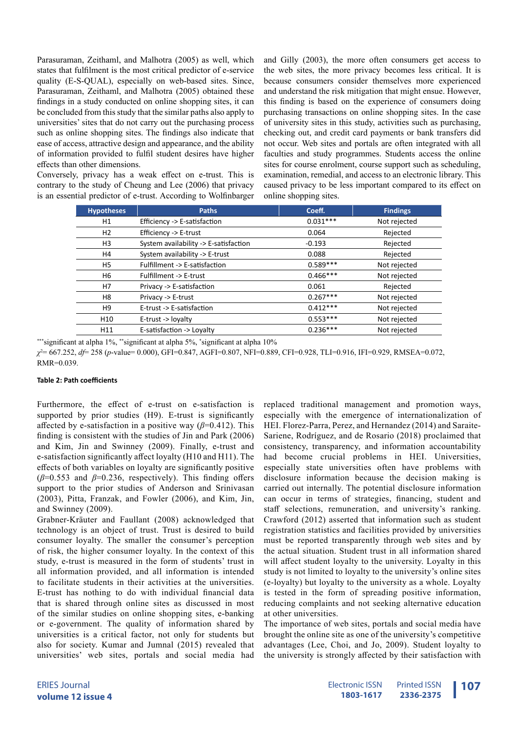Parasuraman, Zeithaml, and Malhotra (2005) as well, which states that fulfilment is the most critical predictor of e-service quality (E-S-QUAL), especially on web-based sites. Since, Parasuraman, Zeithaml, and Malhotra (2005) obtained these findings in a study conducted on online shopping sites, it can be concluded from this study that the similar paths also apply to universities' sites that do not carry out the purchasing process such as online shopping sites. The findings also indicate that ease of access, attractive design and appearance, and the ability of information provided to fulfil student desires have higher effects than other dimensions.

Conversely, privacy has a weak effect on e-trust. This is contrary to the study of Cheung and Lee (2006) that privacy is an essential predictor of e-trust. According to Wolfinbarger and Gilly (2003), the more often consumers get access to the web sites, the more privacy becomes less critical. It is because consumers consider themselves more experienced and understand the risk mitigation that might ensue. However, this finding is based on the experience of consumers doing purchasing transactions on online shopping sites. In the case of university sites in this study, activities such as purchasing, checking out, and credit card payments or bank transfers did not occur. Web sites and portals are often integrated with all faculties and study programmes. Students access the online sites for course enrolment, course support such as scheduling, examination, remedial, and access to an electronic library. This caused privacy to be less important compared to its effect on online shopping sites.

| <b>Hypotheses</b> | <b>Paths</b>                          | Coeff.     | <b>Findings</b> |
|-------------------|---------------------------------------|------------|-----------------|
| H1                | Efficiency -> E-satisfaction          | $0.031***$ | Not rejected    |
| H <sub>2</sub>    | Efficiency -> E-trust                 | 0.064      | Rejected        |
| H <sub>3</sub>    | System availability -> E-satisfaction | $-0.193$   | Rejected        |
| H4                | System availability -> E-trust        | 0.088      | Rejected        |
| H5                | Fulfillment -> E-satisfaction         | $0.589***$ | Not rejected    |
| H6                | Fulfillment -> E-trust                | $0.466***$ | Not rejected    |
| H7                | Privacy -> E-satisfaction             | 0.061      | Rejected        |
| H8                | Privacy -> E-trust                    | $0.267***$ | Not rejected    |
| H9                | E-trust -> E-satisfaction             | $0.412***$ | Not rejected    |
| H <sub>10</sub>   | E-trust -> loyalty                    | $0.553***$ | Not rejected    |
| H11               | E-satisfaction -> Loyalty             | $0.236***$ | Not rejected    |

\*\*\*significant at alpha 1%, \*\*significant at alpha 5%, \* significant at alpha 10%

*χ*2 = 667.252, *df*= 258 (*p*-value= 0.000), GFI=0.847, AGFI=0.807, NFI=0.889, CFI=0.928, TLI=0.916, IFI=0.929, RMSEA=0.072, RMR=0.039.

#### **Table 2: Path coefficients**

Furthermore, the effect of e-trust on e-satisfaction is supported by prior studies (H9). E-trust is significantly affected by e-satisfaction in a positive way  $(\beta=0.412)$ . This finding is consistent with the studies of Jin and Park (2006) and Kim, Jin and Swinney (2009). Finally, e-trust and e-satisfaction significantly affect loyalty (H10 and H11). The effects of both variables on loyalty are significantly positive  $(\beta=0.553$  and  $\beta=0.236$ , respectively). This finding offers support to the prior studies of Anderson and Srinivasan (2003), Pitta, Franzak, and Fowler (2006), and Kim, Jin, and Swinney (2009).

Grabner-Kräuter and Faullant (2008) acknowledged that technology is an object of trust. Trust is desired to build consumer loyalty. The smaller the consumer's perception of risk, the higher consumer loyalty. In the context of this study, e-trust is measured in the form of students' trust in all information provided, and all information is intended to facilitate students in their activities at the universities. E-trust has nothing to do with individual financial data that is shared through online sites as discussed in most of the similar studies on online shopping sites, e-banking or e-government. The quality of information shared by universities is a critical factor, not only for students but also for society. Kumar and Jumnal (2015) revealed that universities' web sites, portals and social media had

replaced traditional management and promotion ways, especially with the emergence of internationalization of HEI. Florez-Parra, Perez, and Hernandez (2014) and Saraite-Sariene, Rodríguez, and de Rosario (2018) proclaimed that consistency, transparency, and information accountability had become crucial problems in HEI. Universities, especially state universities often have problems with disclosure information because the decision making is carried out internally. The potential disclosure information can occur in terms of strategies, financing, student and staff selections, remuneration, and university's ranking. Crawford (2012) asserted that information such as student registration statistics and facilities provided by universities must be reported transparently through web sites and by the actual situation. Student trust in all information shared will affect student loyalty to the university. Loyalty in this study is not limited to loyalty to the university's online sites (e-loyalty) but loyalty to the university as a whole. Loyalty is tested in the form of spreading positive information, reducing complaints and not seeking alternative education at other universities.

The importance of web sites, portals and social media have brought the online site as one of the university's competitive advantages (Lee, Choi, and Jo, 2009). Student loyalty to the university is strongly affected by their satisfaction with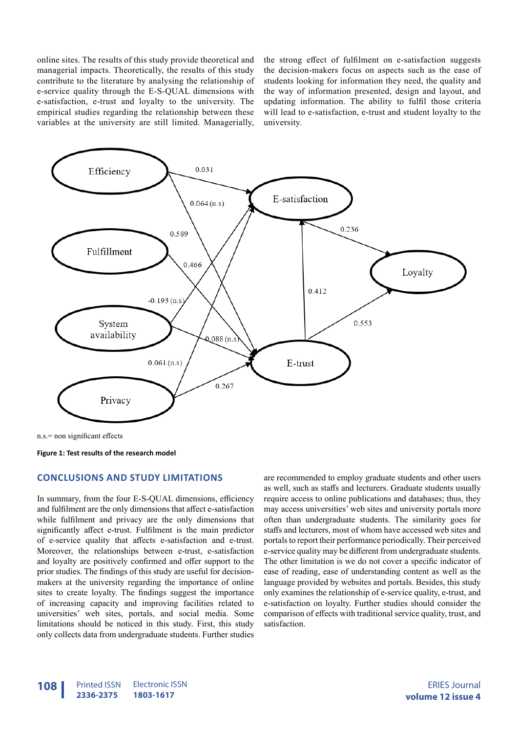online sites. The results of this study provide theoretical and managerial impacts. Theoretically, the results of this study contribute to the literature by analysing the relationship of e-service quality through the E-S-QUAL dimensions with e-satisfaction, e-trust and loyalty to the university. The empirical studies regarding the relationship between these variables at the university are still limited. Managerially,

the strong effect of fulfilment on e-satisfaction suggests the decision-makers focus on aspects such as the ease of students looking for information they need, the quality and the way of information presented, design and layout, and updating information. The ability to fulfil those criteria will lead to e-satisfaction, e-trust and student loyalty to the university.



**Figure 1: Test results of the research model**

#### **CONCLUSIONS AND STUDY LIMITATIONS**

In summary, from the four E-S-QUAL dimensions, efficiency and fulfilment are the only dimensions that affect e-satisfaction while fulfilment and privacy are the only dimensions that significantly affect e-trust. Fulfilment is the main predictor of e-service quality that affects e-satisfaction and e-trust. Moreover, the relationships between e-trust, e-satisfaction and loyalty are positively confirmed and offer support to the prior studies. The findings of this study are useful for decisionmakers at the university regarding the importance of online sites to create loyalty. The findings suggest the importance of increasing capacity and improving facilities related to universities' web sites, portals, and social media. Some limitations should be noticed in this study. First, this study only collects data from undergraduate students. Further studies

are recommended to employ graduate students and other users as well, such as staffs and lecturers. Graduate students usually require access to online publications and databases; thus, they may access universities' web sites and university portals more often than undergraduate students. The similarity goes for staffs and lecturers, most of whom have accessed web sites and portals to report their performance periodically. Their perceived e-service quality may be different from undergraduate students. The other limitation is we do not cover a specific indicator of ease of reading, ease of understanding content as well as the language provided by websites and portals. Besides, this study only examines the relationship of e-service quality, e-trust, and e-satisfaction on loyalty. Further studies should consider the comparison of effects with traditional service quality, trust, and satisfaction.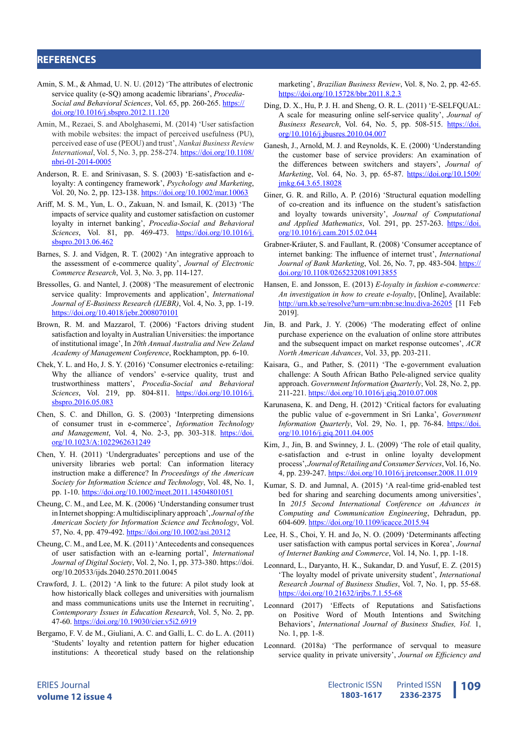#### **REFERENCES**

- Amin, S. M., & Ahmad, U. N. U. (2012) 'The attributes of electronic service quality (e-SQ) among academic librarians', *Procedia-Social and Behavioral Sciences*, Vol. 65, pp. 260-265. [https://](https://doi.org/10.1016/j.sbspro.2012.11.120) [doi.org/10.1016/j.sbspro.2012.11.120](https://doi.org/10.1016/j.sbspro.2012.11.120)
- Amin, M., Rezaei, S. and Abolghasemi, M. (2014) 'User satisfaction with mobile websites: the impact of perceived usefulness (PU), perceived ease of use (PEOU) and trust', *Nankai Business Review International*, Vol. 5, No. 3, pp. 258-274. [https://doi.org/10.1108/](https://doi.org/10.1108/nbri-01-2014-0005) [nbri-01-2014-0005](https://doi.org/10.1108/nbri-01-2014-0005)
- Anderson, R. E. and Srinivasan, S. S. (2003) 'E-satisfaction and eloyalty: A contingency framework', *Psychology and Marketing*, Vol. 20, No. 2, pp. 123-138. <https://doi.org/10.1002/mar.10063>
- Ariff, M. S. M., Yun, L. O., Zakuan, N. and Ismail, K. (2013) 'The impacts of service quality and customer satisfaction on customer loyalty in internet banking', *Procedia-Social and Behavioral Sciences*, Vol. 81, pp. 469-473. [https://doi.org/10.1016/j.](https://doi.org/10.1016/j.sbspro.2013.06.462) [sbspro.2013.06.462](https://doi.org/10.1016/j.sbspro.2013.06.462)
- Barnes, S. J. and Vidgen, R. T. (2002) 'An integrative approach to the assessment of e-commerce quality', *Journal of Electronic Commerce Research*, Vol. 3, No. 3, pp. 114-127.
- Bressolles, G. and Nantel, J. (2008) 'The measurement of electronic service quality: Improvements and application', *International Journal of E-Business Research (IJEBR)*, Vol. 4, No. 3, pp. 1-19. <https://doi.org/10.4018/jebr.2008070101>
- Brown, R. M. and Mazzarol, T. (2006) 'Factors driving student satisfaction and loyalty in Australian Universities: the importance of institutional image', In *20th Annual Australia and New Zeland Academy of Management Conference*, Rockhampton, pp. 6-10.
- Chek, Y. L. and Ho, J. S. Y. (2016) 'Consumer electronics e-retailing: Why the alliance of vendors' e-service quality, trust and trustworthiness matters', *Procedia-Social and Behavioral Sciences*, Vol. 219, pp. 804-811. [https://doi.org/10.1016/j.](https://doi.org/10.1016/j.sbspro.2016.05.083) [sbspro.2016.05.083](https://doi.org/10.1016/j.sbspro.2016.05.083)
- Chen, S. C. and Dhillon, G. S. (2003) 'Interpreting dimensions of consumer trust in e-commerce', *Information Technology and Management*, Vol. 4, No. 2-3, pp. 303-318. [https://doi.](https://doi.org/10.1023/A:1022962631249) [org/10.1023/A:1022962631249](https://doi.org/10.1023/A:1022962631249)
- Chen, Y. H. (2011) 'Undergraduates' perceptions and use of the university libraries web portal: Can information literacy instruction make a difference? In *Proceedings of the American Society for Information Science and Technology*, Vol. 48, No. 1, pp. 1-10. <https://doi.org/10.1002/meet.2011.14504801051>
- Cheung, C. M., and Lee, M. K. (2006) 'Understanding consumer trust in Internet shopping: A multidisciplinary approach', *Journal of the American Society for Information Science and Technology*, Vol. 57, No. 4, pp. 479-492. <https://doi.org/10.1002/asi.20312>
- Cheung, C. M., and Lee, M. K. (2011) 'Antecedents and consequences of user satisfaction with an e-learning portal', *International Journal of Digital Society*, Vol. 2, No. 1, pp. 373-380. https://doi. org/10.20533/ijds.2040.2570.2011.0045
- Crawford, J. L. (2012) 'A link to the future: A pilot study look at how historically black colleges and universities with journalism and mass communications units use the Internet in recruiting', *Contemporary Issues in Education Research*, Vol. 5, No. 2, pp. 47-60. <https://doi.org/10.19030/cier.v5i2.6919>
- Bergamo, F. V. de M., Giuliani, A. C. and Galli, L. C. do L. A. (2011) 'Students' loyalty and retention pattern for higher education institutions: A theoretical study based on the relationship

marketing', *Brazilian Business Review*, Vol. 8, No. 2, pp. 42-65. <https://doi.org/10.15728/bbr.2011.8.2.3>

- Ding, D. X., Hu, P. J. H. and Sheng, O. R. L. (2011) 'E-SELFQUAL: A scale for measuring online self-service quality', *Journal of Business Research*, Vol. 64, No. 5, pp. 508-515. [https://doi.](https://doi.org/10.1016/j.jbusres.2010.04.007) [org/10.1016/j.jbusres.2010.04.007](https://doi.org/10.1016/j.jbusres.2010.04.007)
- Ganesh, J., Arnold, M. J. and Reynolds, K. E. (2000) 'Understanding the customer base of service providers: An examination of the differences between switchers and stayers', *Journal of Marketing*, Vol. 64, No. 3, pp. 65-87. [https://doi.org/10.1509/](https://doi.org/10.1509/jmkg.64.3.65.18028) [jmkg.64.3.65.18028](https://doi.org/10.1509/jmkg.64.3.65.18028)
- Giner, G. R. and Rillo, A. P. (2016) 'Structural equation modelling of co-creation and its influence on the student's satisfaction and loyalty towards university', *Journal of Computational*  and Applied Mathematics, Vol. 291, pp. 257-263. [https://doi.](https://doi.org/10.1016/j.cam.2015.02.044) [org/10.1016/j.cam.2015.02.044](https://doi.org/10.1016/j.cam.2015.02.044)
- Grabner-Kräuter, S. and Faullant, R. (2008) 'Consumer acceptance of internet banking: The influence of internet trust', *International Journal of Bank Marketing*, Vol. 26, No. 7, pp. 483-504. [https://](https://doi.org/10.1108/02652320810913855) [doi.org/10.1108/02652320810913855](https://doi.org/10.1108/02652320810913855)
- Hansen, E. and Jonsson, E. (2013) *E-loyalty in fashion e-commerce: An investigation in how to create e-loyalty*, [Online], Available: <http://urn.kb.se/resolve?urn=urn:nbn:se:lnu:diva-26205> [11 Feb 2019].
- Jin, B. and Park, J. Y. (2006) 'The moderating effect of online purchase experience on the evaluation of online store attributes and the subsequent impact on market response outcomes', *ACR North American Advances*, Vol. 33, pp. 203-211.
- Kaisara, G., and Pather, S. (2011) 'The e-government evaluation challenge: A South African Batho Pele-aligned service quality approach. *Government Information Quarterly*, Vol. 28, No. 2, pp. 211-221. <https://doi.org/10.1016/j.giq.2010.07.008>
- Karunasena, K. and Deng, H. (2012) 'Critical factors for evaluating the public value of e-government in Sri Lanka', *Government Information Quarterly*, Vol. 29, No. 1, pp. 76-84. [https://doi.](https://doi.org/10.1016/j.giq.2011.04.005) [org/10.1016/j.giq.2011.04.005](https://doi.org/10.1016/j.giq.2011.04.005)
- Kim, J., Jin, B. and Swinney, J. L. (2009) 'The role of etail quality, e-satisfaction and e-trust in online loyalty development process', *Journal of Retailing and Consumer Services*, Vol. 16, No. 4, pp. 239-247. <https://doi.org/10.1016/j.jretconser.2008.11.019>
- Kumar, S. D. and Jumnal, A. (2015) 'A real-time grid-enabled test bed for sharing and searching documents among universities', In *2015 Second International Conference on Advances in Computing and Communication Engineering*, Dehradun, pp. 604-609. <https://doi.org/10.1109/icacce.2015.94>
- Lee, H. S., Choi, Y. H. and Jo, N. O. (2009) 'Determinants affecting user satisfaction with campus portal services in Korea', *Journal of Internet Banking and Commerce*, Vol. 14, No. 1, pp. 1-18.
- Leonnard, L., Daryanto, H. K., Sukandar, D. and Yusuf, E. Z. (2015) 'The loyalty model of private university student', *International Research Journal of Business Studies*, Vol. 7, No. 1, pp. 55-68. <https://doi.org/10.21632/irjbs.7.1.55-68>
- Leonnard (2017) 'Effects of Reputations and Satisfactions on Positive Word of Mouth Intentions and Switching Behaviors', *International Journal of Business Studies, Vol.* 1, No. 1, pp. 1-8.
- Leonnard. (2018a) 'The performance of servqual to measure service quality in private university', *Journal on Efficiency and*

ERIES Journal **volume 12 issue 4**

Printed ISSN **2336-2375** Electronic ISSN **Printed ISSN** 109 **1803-1617**